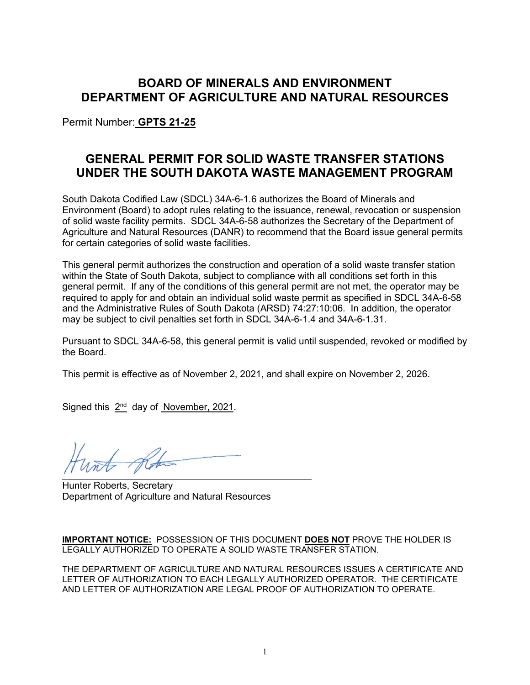# **BOARD OF MINERALS AND ENVIRONMENT DEPARTMENT OF AGRICULTURE AND NATURAL RESOURCES**

Permit Number: **GPTS 21-25**

# **GENERAL PERMIT FOR SOLID WASTE TRANSFER STATIONS UNDER THE SOUTH DAKOTA WASTE MANAGEMENT PROGRAM**

South Dakota Codified Law (SDCL) 34A-6-1.6 authorizes the Board of Minerals and Environment (Board) to adopt rules relating to the issuance, renewal, revocation or suspension of solid waste facility permits. SDCL 34A-6-58 authorizes the Secretary of the Department of Agriculture and Natural Resources (DANR) to recommend that the Board issue general permits for certain categories of solid waste facilities.

This general permit authorizes the construction and operation of a solid waste transfer station within the State of South Dakota, subject to compliance with all conditions set forth in this general permit. If any of the conditions of this general permit are not met, the operator may be required to apply for and obtain an individual solid waste permit as specified in SDCL 34A-6-58 and the Administrative Rules of South Dakota (ARSD) 74:27:10:06. In addition, the operator may be subject to civil penalties set forth in SDCL 34A-6-1.4 and 34A-6-1.31.

Pursuant to SDCL 34A-6-58, this general permit is valid until suspended, revoked or modified by the Board.

This permit is effective as of November 2, 2021, and shall expire on November 2, 2026.

Signed this  $2^{nd}$  day of November, 2021.

 $\overline{4}$ 

Hunter Roberts, Secretary Department of Agriculture and Natural Resources

**IMPORTANT NOTICE:** POSSESSION OF THIS DOCUMENT **DOES NOT** PROVE THE HOLDER IS LEGALLY AUTHORIZED TO OPERATE A SOLID WASTE TRANSFER STATION.

THE DEPARTMENT OF AGRICULTURE AND NATURAL RESOURCES ISSUES A CERTIFICATE AND LETTER OF AUTHORIZATION TO EACH LEGALLY AUTHORIZED OPERATOR. THE CERTIFICATE AND LETTER OF AUTHORIZATION ARE LEGAL PROOF OF AUTHORIZATION TO OPERATE.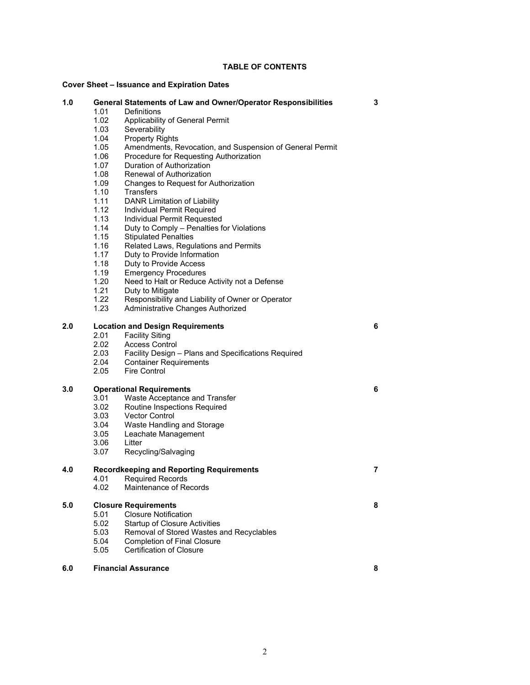## **TABLE OF CONTENTS**

## **Cover Sheet – Issuance and Expiration Dates**

| 1.0 |                                         | General Statements of Law and Owner/Operator Responsibilities | 3 |
|-----|-----------------------------------------|---------------------------------------------------------------|---|
|     | 1.01                                    | Definitions                                                   |   |
|     | 1.02                                    | Applicability of General Permit                               |   |
|     | 1.03                                    | Severability                                                  |   |
|     | 1.04                                    | <b>Property Rights</b>                                        |   |
|     | 1.05                                    | Amendments, Revocation, and Suspension of General Permit      |   |
|     | 1.06                                    | Procedure for Requesting Authorization                        |   |
|     | 1.07                                    | Duration of Authorization                                     |   |
|     | 1.08                                    | Renewal of Authorization                                      |   |
|     | 1.09                                    | Changes to Request for Authorization                          |   |
|     | 1.10                                    | <b>Transfers</b>                                              |   |
|     | 1.11                                    | DANR Limitation of Liability                                  |   |
|     | 1.12                                    | Individual Permit Required                                    |   |
|     | 1.13                                    | Individual Permit Requested                                   |   |
|     | 1.14                                    | Duty to Comply - Penalties for Violations                     |   |
|     | 1.15                                    | <b>Stipulated Penalties</b>                                   |   |
|     | 1.16                                    | Related Laws, Regulations and Permits                         |   |
|     | 1.17                                    | Duty to Provide Information                                   |   |
|     | 1.18                                    | Duty to Provide Access                                        |   |
|     | 1.19                                    | <b>Emergency Procedures</b>                                   |   |
|     | 1.20                                    | Need to Halt or Reduce Activity not a Defense                 |   |
|     | 1.21                                    | Duty to Mitigate                                              |   |
|     | 1.22                                    | Responsibility and Liability of Owner or Operator             |   |
|     | 1.23                                    | Administrative Changes Authorized                             |   |
|     |                                         |                                                               |   |
| 2.0 | <b>Location and Design Requirements</b> |                                                               | 6 |
|     | 2.01                                    | <b>Facility Siting</b>                                        |   |
|     | 2.02                                    | <b>Access Control</b>                                         |   |
|     | 2.03                                    | Facility Design - Plans and Specifications Required           |   |
|     | 2.04                                    | <b>Container Requirements</b>                                 |   |
|     | 2.05                                    | <b>Fire Control</b>                                           |   |
| 3.0 | <b>Operational Requirements</b>         |                                                               | 6 |
|     | 3.01                                    | Waste Acceptance and Transfer                                 |   |
|     | 3.02                                    | Routine Inspections Required                                  |   |
|     | 3.03                                    | Vector Control                                                |   |
|     |                                         |                                                               |   |
|     | 3.04<br>3.05                            | Waste Handling and Storage                                    |   |
|     | 3.06                                    | Leachate Management<br>Litter                                 |   |
|     | 3.07                                    |                                                               |   |
|     |                                         | Recycling/Salvaging                                           |   |
| 4.0 |                                         | <b>Recordkeeping and Reporting Requirements</b>               | 7 |
|     |                                         | 4.01 Required Records                                         |   |
|     | 4.02                                    | Maintenance of Records                                        |   |
| 5.0 | <b>Closure Requirements</b>             |                                                               | 8 |
|     | 5.01                                    | <b>Closure Notification</b>                                   |   |
|     | 5.02                                    | <b>Startup of Closure Activities</b>                          |   |
|     | 5.03                                    | Removal of Stored Wastes and Recyclables                      |   |
|     | 5.04                                    | <b>Completion of Final Closure</b>                            |   |
|     | 5.05                                    | <b>Certification of Closure</b>                               |   |
|     |                                         |                                                               |   |
| 6.0 | <b>Financial Assurance</b>              |                                                               | 8 |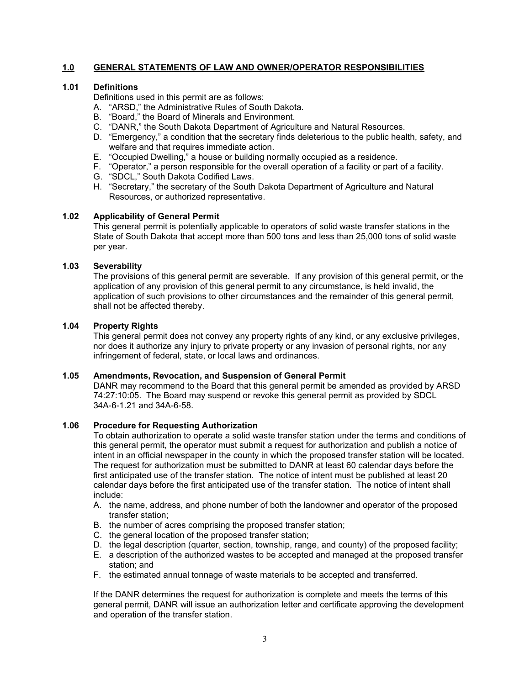# **1.0 GENERAL STATEMENTS OF LAW AND OWNER/OPERATOR RESPONSIBILITIES**

## **1.01 Definitions**

Definitions used in this permit are as follows:

- A. "ARSD," the Administrative Rules of South Dakota.
- B. "Board," the Board of Minerals and Environment.
- C. "DANR," the South Dakota Department of Agriculture and Natural Resources.
- D. "Emergency," a condition that the secretary finds deleterious to the public health, safety, and welfare and that requires immediate action.
- E. "Occupied Dwelling," a house or building normally occupied as a residence.
- F. "Operator," a person responsible for the overall operation of a facility or part of a facility.
- G. "SDCL," South Dakota Codified Laws.
- H. "Secretary," the secretary of the South Dakota Department of Agriculture and Natural Resources, or authorized representative.

### **1.02 Applicability of General Permit**

This general permit is potentially applicable to operators of solid waste transfer stations in the State of South Dakota that accept more than 500 tons and less than 25,000 tons of solid waste per year.

## **1.03 Severability**

The provisions of this general permit are severable. If any provision of this general permit, or the application of any provision of this general permit to any circumstance, is held invalid, the application of such provisions to other circumstances and the remainder of this general permit, shall not be affected thereby.

# **1.04 Property Rights**

This general permit does not convey any property rights of any kind, or any exclusive privileges, nor does it authorize any injury to private property or any invasion of personal rights, nor any infringement of federal, state, or local laws and ordinances.

### **1.05 Amendments, Revocation, and Suspension of General Permit**

DANR may recommend to the Board that this general permit be amended as provided by ARSD 74:27:10:05. The Board may suspend or revoke this general permit as provided by SDCL 34A-6-1.21 and 34A-6-58.

### **1.06 Procedure for Requesting Authorization**

To obtain authorization to operate a solid waste transfer station under the terms and conditions of this general permit, the operator must submit a request for authorization and publish a notice of intent in an official newspaper in the county in which the proposed transfer station will be located. The request for authorization must be submitted to DANR at least 60 calendar days before the first anticipated use of the transfer station. The notice of intent must be published at least 20 calendar days before the first anticipated use of the transfer station. The notice of intent shall include:

- A. the name, address, and phone number of both the landowner and operator of the proposed transfer station;
- B. the number of acres comprising the proposed transfer station;
- C. the general location of the proposed transfer station;
- D. the legal description (quarter, section, township, range, and county) of the proposed facility;
- E. a description of the authorized wastes to be accepted and managed at the proposed transfer station; and
- F. the estimated annual tonnage of waste materials to be accepted and transferred.

If the DANR determines the request for authorization is complete and meets the terms of this general permit, DANR will issue an authorization letter and certificate approving the development and operation of the transfer station.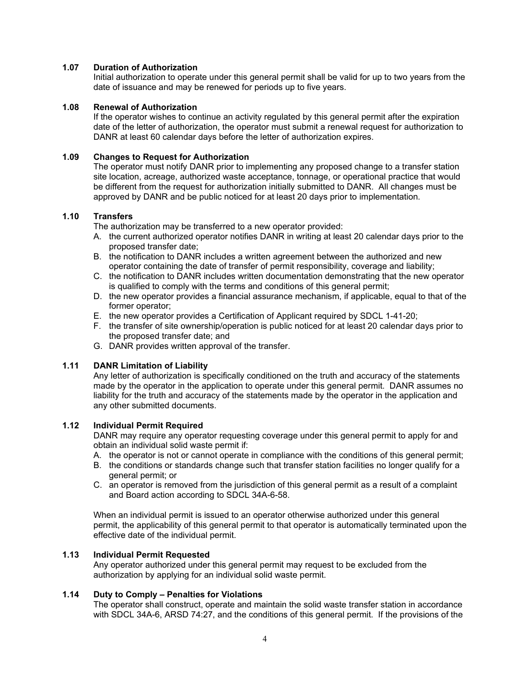### **1.07 Duration of Authorization**

Initial authorization to operate under this general permit shall be valid for up to two years from the date of issuance and may be renewed for periods up to five years.

### **1.08 Renewal of Authorization**

If the operator wishes to continue an activity regulated by this general permit after the expiration date of the letter of authorization, the operator must submit a renewal request for authorization to DANR at least 60 calendar days before the letter of authorization expires.

# **1.09 Changes to Request for Authorization**

The operator must notify DANR prior to implementing any proposed change to a transfer station site location, acreage, authorized waste acceptance, tonnage, or operational practice that would be different from the request for authorization initially submitted to DANR. All changes must be approved by DANR and be public noticed for at least 20 days prior to implementation.

# **1.10 Transfers**

The authorization may be transferred to a new operator provided:

- A. the current authorized operator notifies DANR in writing at least 20 calendar days prior to the proposed transfer date;
- B. the notification to DANR includes a written agreement between the authorized and new operator containing the date of transfer of permit responsibility, coverage and liability;
- C. the notification to DANR includes written documentation demonstrating that the new operator is qualified to comply with the terms and conditions of this general permit;
- D. the new operator provides a financial assurance mechanism, if applicable, equal to that of the former operator;
- E. the new operator provides a Certification of Applicant required by SDCL 1-41-20;
- F. the transfer of site ownership/operation is public noticed for at least 20 calendar days prior to the proposed transfer date; and
- G. DANR provides written approval of the transfer.

# **1.11 DANR Limitation of Liability**

Any letter of authorization is specifically conditioned on the truth and accuracy of the statements made by the operator in the application to operate under this general permit. DANR assumes no liability for the truth and accuracy of the statements made by the operator in the application and any other submitted documents.

### **1.12 Individual Permit Required**

DANR may require any operator requesting coverage under this general permit to apply for and obtain an individual solid waste permit if:

- A. the operator is not or cannot operate in compliance with the conditions of this general permit;
- B. the conditions or standards change such that transfer station facilities no longer qualify for a general permit; or
- C. an operator is removed from the jurisdiction of this general permit as a result of a complaint and Board action according to SDCL 34A-6-58.

When an individual permit is issued to an operator otherwise authorized under this general permit, the applicability of this general permit to that operator is automatically terminated upon the effective date of the individual permit.

### **1.13 Individual Permit Requested**

Any operator authorized under this general permit may request to be excluded from the authorization by applying for an individual solid waste permit.

# **1.14 Duty to Comply – Penalties for Violations**

The operator shall construct, operate and maintain the solid waste transfer station in accordance with SDCL 34A-6, ARSD 74:27, and the conditions of this general permit. If the provisions of the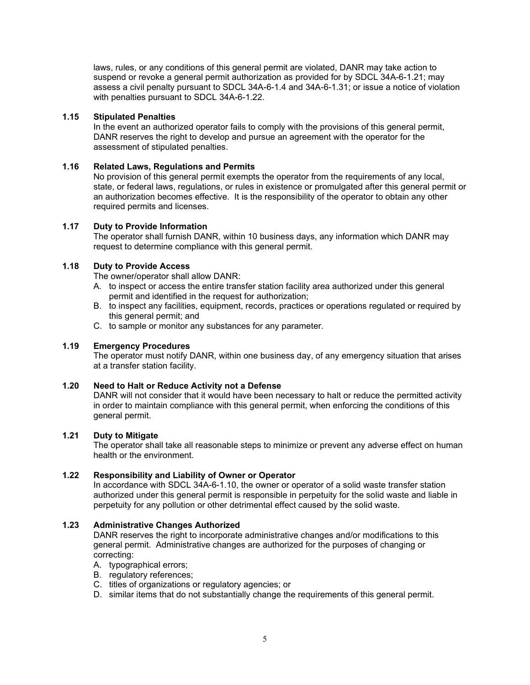laws, rules, or any conditions of this general permit are violated, DANR may take action to suspend or revoke a general permit authorization as provided for by SDCL 34A-6-1.21; may assess a civil penalty pursuant to SDCL 34A-6-1.4 and 34A-6-1.31; or issue a notice of violation with penalties pursuant to SDCL 34A-6-1.22.

## **1.15 Stipulated Penalties**

In the event an authorized operator fails to comply with the provisions of this general permit, DANR reserves the right to develop and pursue an agreement with the operator for the assessment of stipulated penalties.

# **1.16 Related Laws, Regulations and Permits**

No provision of this general permit exempts the operator from the requirements of any local, state, or federal laws, regulations, or rules in existence or promulgated after this general permit or an authorization becomes effective. It is the responsibility of the operator to obtain any other required permits and licenses.

## **1.17 Duty to Provide Information**

The operator shall furnish DANR, within 10 business days, any information which DANR may request to determine compliance with this general permit.

# **1.18 Duty to Provide Access**

The owner/operator shall allow DANR:

- A. to inspect or access the entire transfer station facility area authorized under this general permit and identified in the request for authorization;
- B. to inspect any facilities, equipment, records, practices or operations regulated or required by this general permit; and
- C. to sample or monitor any substances for any parameter.

### **1.19 Emergency Procedures**

The operator must notify DANR, within one business day, of any emergency situation that arises at a transfer station facility.

# **1.20 Need to Halt or Reduce Activity not a Defense**

DANR will not consider that it would have been necessary to halt or reduce the permitted activity in order to maintain compliance with this general permit, when enforcing the conditions of this general permit.

### **1.21 Duty to Mitigate**

The operator shall take all reasonable steps to minimize or prevent any adverse effect on human health or the environment.

### **1.22 Responsibility and Liability of Owner or Operator**

In accordance with SDCL 34A-6-1.10, the owner or operator of a solid waste transfer station authorized under this general permit is responsible in perpetuity for the solid waste and liable in perpetuity for any pollution or other detrimental effect caused by the solid waste.

### **1.23 Administrative Changes Authorized**

DANR reserves the right to incorporate administrative changes and/or modifications to this general permit. Administrative changes are authorized for the purposes of changing or correcting:

- A. typographical errors;
- B. regulatory references;
- C. titles of organizations or regulatory agencies; or
- D. similar items that do not substantially change the requirements of this general permit.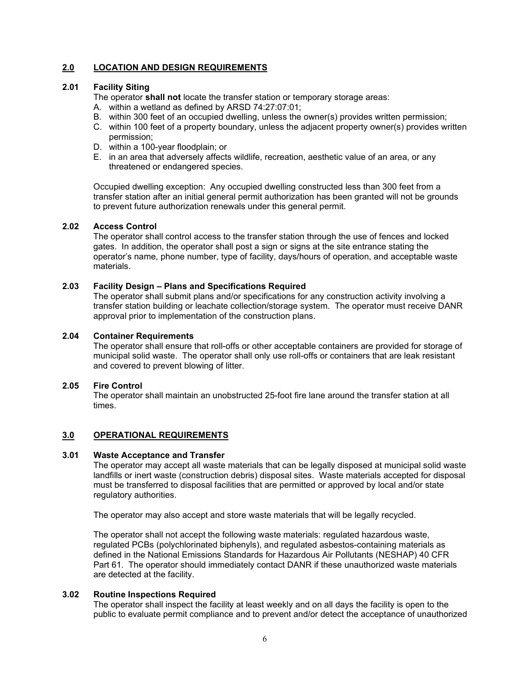# **2.0 LOCATION AND DESIGN REQUIREMENTS**

# **2.01 Facility Siting**

The operator **shall not** locate the transfer station or temporary storage areas:

- A. within a wetland as defined by ARSD 74:27:07:01;
- B. within 300 feet of an occupied dwelling, unless the owner(s) provides written permission;
- C. within 100 feet of a property boundary, unless the adjacent property owner(s) provides written permission;
- D. within a 100-year floodplain; or
- E. in an area that adversely affects wildlife, recreation, aesthetic value of an area, or any threatened or endangered species.

Occupied dwelling exception: Any occupied dwelling constructed less than 300 feet from a transfer station after an initial general permit authorization has been granted will not be grounds to prevent future authorization renewals under this general permit.

## **2.02 Access Control**

The operator shall control access to the transfer station through the use of fences and locked gates. In addition, the operator shall post a sign or signs at the site entrance stating the operator's name, phone number, type of facility, days/hours of operation, and acceptable waste materials.

### **2.03 Facility Design – Plans and Specifications Required**

The operator shall submit plans and/or specifications for any construction activity involving a transfer station building or leachate collection/storage system. The operator must receive DANR approval prior to implementation of the construction plans.

### **2.04 Container Requirements**

The operator shall ensure that roll-offs or other acceptable containers are provided for storage of municipal solid waste. The operator shall only use roll-offs or containers that are leak resistant and covered to prevent blowing of litter.

### **2.05 Fire Control**

The operator shall maintain an unobstructed 25-foot fire lane around the transfer station at all times.

# **3.0 OPERATIONAL REQUIREMENTS**

### **3.01 Waste Acceptance and Transfer**

The operator may accept all waste materials that can be legally disposed at municipal solid waste landfills or inert waste (construction debris) disposal sites. Waste materials accepted for disposal must be transferred to disposal facilities that are permitted or approved by local and/or state regulatory authorities.

The operator may also accept and store waste materials that will be legally recycled.

The operator shall not accept the following waste materials: regulated hazardous waste, regulated PCBs (polychlorinated biphenyls), and regulated asbestos-containing materials as defined in the National Emissions Standards for Hazardous Air Pollutants (NESHAP) 40 CFR Part 61. The operator should immediately contact DANR if these unauthorized waste materials are detected at the facility.

### **3.02 Routine Inspections Required**

The operator shall inspect the facility at least weekly and on all days the facility is open to the public to evaluate permit compliance and to prevent and/or detect the acceptance of unauthorized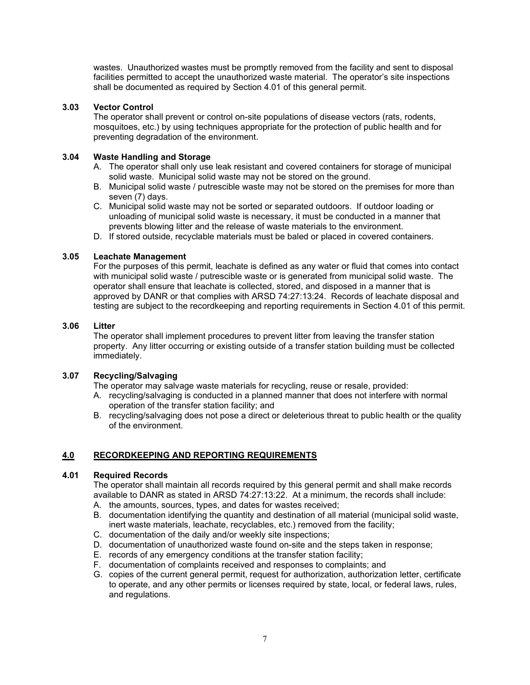wastes. Unauthorized wastes must be promptly removed from the facility and sent to disposal facilities permitted to accept the unauthorized waste material. The operator's site inspections shall be documented as required by Section 4.01 of this general permit.

# **3.03 Vector Control**

The operator shall prevent or control on-site populations of disease vectors (rats, rodents, mosquitoes, etc.) by using techniques appropriate for the protection of public health and for preventing degradation of the environment.

# **3.04 Waste Handling and Storage**

- A. The operator shall only use leak resistant and covered containers for storage of municipal solid waste. Municipal solid waste may not be stored on the ground.
- B. Municipal solid waste / putrescible waste may not be stored on the premises for more than seven (7) days.
- C. Municipal solid waste may not be sorted or separated outdoors. If outdoor loading or unloading of municipal solid waste is necessary, it must be conducted in a manner that prevents blowing litter and the release of waste materials to the environment.
- D. If stored outside, recyclable materials must be baled or placed in covered containers.

## **3.05 Leachate Management**

For the purposes of this permit, leachate is defined as any water or fluid that comes into contact with municipal solid waste / putrescible waste or is generated from municipal solid waste. The operator shall ensure that leachate is collected, stored, and disposed in a manner that is approved by DANR or that complies with ARSD 74:27:13:24. Records of leachate disposal and testing are subject to the recordkeeping and reporting requirements in Section 4.01 of this permit.

## **3.06 Litter**

The operator shall implement procedures to prevent litter from leaving the transfer station property. Any litter occurring or existing outside of a transfer station building must be collected immediately.

# **3.07 Recycling/Salvaging**

The operator may salvage waste materials for recycling, reuse or resale, provided:

- A. recycling/salvaging is conducted in a planned manner that does not interfere with normal operation of the transfer station facility; and
- B. recycling/salvaging does not pose a direct or deleterious threat to public health or the quality of the environment.

# **4.0 RECORDKEEPING AND REPORTING REQUIREMENTS**

### **4.01 Required Records**

The operator shall maintain all records required by this general permit and shall make records available to DANR as stated in ARSD 74:27:13:22. At a minimum, the records shall include:

- A. the amounts, sources, types, and dates for wastes received;
- B. documentation identifying the quantity and destination of all material (municipal solid waste, inert waste materials, leachate, recyclables, etc.) removed from the facility;
- C. documentation of the daily and/or weekly site inspections;
- D. documentation of unauthorized waste found on-site and the steps taken in response;
- E. records of any emergency conditions at the transfer station facility;
- F. documentation of complaints received and responses to complaints; and
- G. copies of the current general permit, request for authorization, authorization letter, certificate to operate, and any other permits or licenses required by state, local, or federal laws, rules, and regulations.